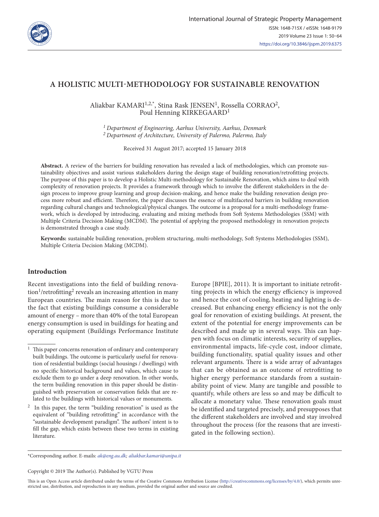

# **A HOLISTIC MULTI-METHODOLOGY FOR SUSTAINABLE RENOVATION**

Aliakbar KAMARI<sup>1,2,\*</sup>, Stina Rask JENSEN<sup>1</sup>, Rossella CORRAO<sup>2</sup>, Poul Henning KIRKEGAARD<sup>1</sup>

*1 Department of Engineering, Aarhus University, Aarhus, Denmark 2 Department of Architecture, University of Palermo, Palermo, Italy*

Received 31 August 2017; accepted 15 January 2018

**Abstract.** A review of the barriers for building renovation has revealed a lack of methodologies, which can promote sustainability objectives and assist various stakeholders during the design stage of building renovation/retrofitting projects. The purpose of this paper is to develop a Holistic Multi-methodology for Sustainable Renovation, which aims to deal with complexity of renovation projects. It provides a framework through which to involve the different stakeholders in the design process to improve group learning and group decision-making, and hence make the building renovation design process more robust and efficient. Therefore, the paper discusses the essence of multifaceted barriers in building renovation regarding cultural changes and technological/physical changes. The outcome is a proposal for a multi-methodology framework, which is developed by introducing, evaluating and mixing methods from Soft Systems Methodologies (SSM) with Multiple Criteria Decision Making (MCDM). The potential of applying the proposed methodology in renovation projects is demonstrated through a case study.

**Keywords:** sustainable building renovation, problem structuring, multi-methodology, Soft Systems Methodologies (SSM), Multiple Criteria Decision Making (MCDM).

## **Introduction**

Recent investigations into the field of building renova- $\text{tion}^1/\text{retrofitting}^2$  reveals an increasing attention in many European countries. The main reason for this is due to the fact that existing buildings consume a considerable amount of energy – more than 40% of the total European energy consumption is used in buildings for heating and operating equipment (Buildings Performance Institute Europe [BPIE], 2011). It is important to initiate retrofitting projects in which the energy efficiency is improved and hence the cost of cooling, heating and lighting is decreased. But enhancing energy efficiency is not the only goal for renovation of existing buildings. At present, the extent of the potential for energy improvements can be described and made up in several ways. This can happen with focus on climatic interests, security of supplies, environmental impacts, life-cycle cost, indoor climate, building functionality, spatial quality issues and other relevant arguments. There is a wide array of advantages that can be obtained as an outcome of retrofitting to higher energy performance standards from a sustainability point of view. Many are tangible and possible to quantify, while others are less so and may be difficult to allocate a monetary value. These renovation goals must be identified and targeted precisely, and presupposes that the different stakeholders are involved and stay involved throughout the process (for the reasons that are investigated in the following section).

\*Corresponding author. E-mails: *[ak@eng.au.dk](mailto:ak@eng.au.dk); [aliakbar.kamari@unipa.it](mailto:aliakbar.kamari@unipa.it)*

Copyright © 2019 The Author(s). Published by VGTU Press

This is an Open Access article distributed under the terms of the Creative Commons Attribution License [\(http://creativecommons.org/licenses/by/4.0/](http://creativecommons.org/licenses/by/4.0/)), which permits unrestricted use, distribution, and reproduction in any medium, provided the original author and source are credited.

 $1$  This paper concerns renovation of ordinary and contemporary built buildings. The outcome is particularly useful for renovation of residential buildings (social housings / dwellings) with no specific historical background and values, which cause to exclude them to go under a deep renovation. In other words, the term building renovation in this paper should be distinguished with preservation or conservation fields that are related to the buildings with historical values or monuments.

<sup>2</sup> In this paper, the term "building renovation" is used as the equivalent of "building retrofitting" in accordance with the "sustainable development paradigm". The authors' intent is to fill the gap, which exists between these two terms in existing literature.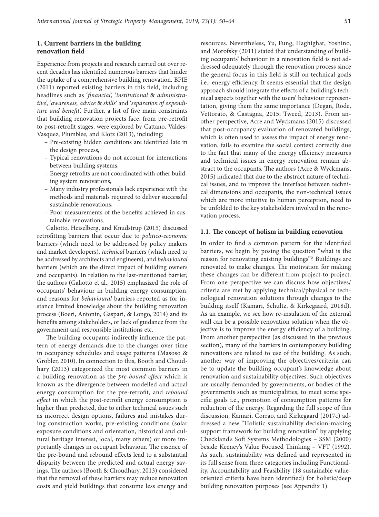### **1. Current barriers in the building renovation field**

Experience from projects and research carried out over recent decades has identified numerous barriers that hinder the uptake of a comprehensive building renovation. BPIE (2011) reported existing barriers in this field, including headlines such as '*financial*', '*institutional* & *administrative*', '*awareness, advice* & *skills*' and '*separation of expenditure and benefit*'. Further, a list of five main constraints that building renovation projects face, from pre-retrofit to post-retrofit stages, were explored by Cattano, Valdes-Vasquez, Plumblee, and Klotz (2013), including:

- Pre-existing hidden conditions are identified late in the design process,
- Typical renovations do not account for interactions between building systems,
- Energy retrofits are not coordinated with other building system renovations,
- Many industry professionals lack experience with the methods and materials required to deliver successful sustainable renovations,
- Poor measurements of the benefits achieved in sustainable renovations.

Galiotto, Heiselberg, and Knudstrup (2015) discussed retrofitting barriers that occur due to *politico-economic* barriers (which need to be addressed by policy makers and market developers), *technical* barriers (which need to be addressed by architects and engineers), and *behavioural*  barriers (which are the direct impact of building owners and occupants). In relation to the last-mentioned barrier, the authors (Galiotto et al., 2015) emphasized the role of occupants' behaviour in building energy consumption, and reasons for *behavioural* barriers reported as for instance limited knowledge about the building renovation process (Boeri, Antonin, Gaspari, & Longo, 2014) and its benefits among stakeholders, or lack of guidance from the government and responsible institutions etc.

The building occupants indirectly influence the pattern of energy demands due to the changes over time in occupancy schedules and usage patterns (Masoso & Grobler, 2010). In connection to this, Booth and Choudhary (2013) categorized the most common barriers in a building renovation as the *pre-bound effect* which is known as the divergence between modelled and actual energy consumption for the pre-retrofit, and *rebound effect* in which the post-retrofit energy consumption is higher than predicted, due to either technical issues such as incorrect design options, failures and mistakes during construction works, pre-existing conditions (solar exposure conditions and orientation, historical and cultural heritage interest, local, many others) or more importantly changes in occupant behaviour. The essence of the pre-bound and rebound effects lead to a substantial disparity between the predicted and actual energy savings. The authors (Booth & Choudhary, 2013) considered that the removal of these barriers may reduce renovation costs and yield buildings that consume less energy and resources. Nevertheless, Yu, Fung, Haghighat, Yoshino, and Morofsky (2011) stated that understanding of building occupants' behaviour in a renovation field is not addressed adequately through the renovation process since the general focus in this field is still on technical goals i.e., energy efficiency. It seems essential that the design approach should integrate the effects of a building's technical aspects together with the users' behaviour representation, giving them the same importance (Degan, Rode, Vettorato, & Castagna, 2015; Tweed, 2013). From another perspective, Acre and Wyckmans (2015) discussed that post-occupancy evaluation of renovated buildings, which is often used to assess the impact of energy renovation, fails to examine the social context correctly due to the fact that many of the energy efficiency measures and technical issues in energy renovation remain abstract to the occupants. The authors (Acre & Wyckmans, 2015) indicated that due to the abstract nature of technical issues, and to improve the interface between technical dimensions and occupants, the non-technical issues which are more intuitive to human perception, need to be unfolded to the key stakeholders involved in the renovation process.

#### **1.1. The concept of holism in building renovation**

In order to find a common pattern for the identified barriers, we begin by posing the question "what is the reason for renovating existing buildings"? Buildings are renovated to make changes. The motivation for making these changes can be different from project to project. From one perspective we can discuss how objectives/ criteria are met by applying technical/physical or technological renovation solutions through changes to the building itself (Kamari, Schultz, & Kirkegaard, 2018d). As an example, we see how re-insulation of the external wall can be a possible renovation solution when the objective is to improve the energy efficiency of a building. From another perspective (as discussed in the previous section), many of the barriers in contemporary building renovations are related to use of the building. As such, another way of improving the objectives/criteria can be to update the building occupant's knowledge about renovation and sustainability objectives. Such objectives are usually demanded by governments, or bodies of the governments such as municipalities, to meet some specific goals i.e., promotion of consumption patterns for reduction of the energy. Regarding the full scope of this discussion, Kamari, Corrao, and Kirkegaard (2017c) addressed a new "Holistic sustainability decision-making support framework for building renovation" by applying Checkland's Soft Systems Methodologies – SSM (2000) beside Keeney's Value Focused Thinking – VFT (1992). As such, sustainability was defined and represented in its full sense from three categories including Functionality, Accountability and Feasibility (18 sustainable valueoriented criteria have been identified) for holistic/deep building renovation purposes (see Appendix 1).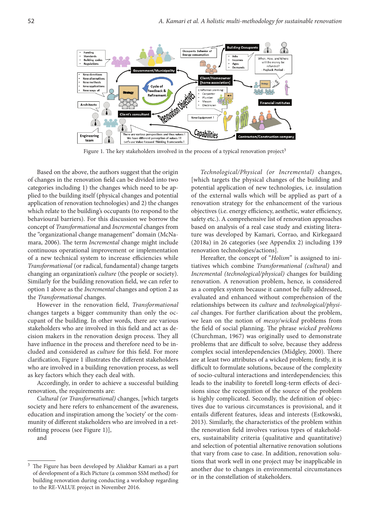

Figure 1. The key stakeholders involved in the process of a typical renovation project<sup>3</sup>

Based on the above, the authors suggest that the origin of changes in the renovation field can be divided into two categories including 1) the changes which need to be applied to the building itself (physical changes and potential application of renovation technologies) and 2) the changes which relate to the building's occupants (to respond to the behavioural barriers). For this discussion we borrow the concept of *Transformational* and *Incremental* changes from the "organizational change management" domain (McNamara, 2006). The term *Incremental* change might include continuous operational improvement or implementation of a new technical system to increase efficiencies while *Transformational* (or radical, fundamental) change targets changing an organization's *culture* (the people or society). Similarly for the building renovation field, we can refer to option 1 above as the *Incremental* changes and option 2 as the *Transformational* changes.

However in the renovation field, *Transformational* changes targets a bigger community than only the occupant of the building. In other words, there are various stakeholders who are involved in this field and act as decision makers in the renovation design process. They all have influence in the process and therefore need to be included and considered as *culture* for this field. For more clarification, Figure 1 illustrates the different stakeholders who are involved in a building renovation process, as well as key factors which they each deal with.

Accordingly, in order to achieve a successful building renovation, the requirements are:

*Cultural (or Transformational)* changes, [which targets society and here refers to enhancement of the awareness, education and inspiration among the 'society' or the community of different stakeholders who are involved in a retrofitting process (see Figure 1)],

and

*Technological/Physical (or Incremental)* changes, [which targets the physical changes of the building and potential application of new technologies, i.e. insulation of the external walls which will be applied as part of a renovation strategy for the enhancement of the various objectives (i.e. energy efficiency, aesthetic, water efficiency, safety etc.). A comprehensive list of renovation approaches based on analysis of a real case study and existing literature was developed by Kamari, Corrao, and Kirkegaard (2018a) in 26 categories (see Appendix 2) including 139 renovation technologies/actions].

Hereafter, the concept of "*Holism*" is assigned to initiatives which combine *Transformational (cultural)* and *Incremental (technological/physical)* changes for building renovation. A renovation problem, hence, is considered as a complex system because it cannot be fully addressed, evaluated and enhanced without comprehension of the relationships between its *culture* and *technological/physical* changes. For further clarification about the problem, we lean on the notion of *messy/wicked* problems from the field of social planning. The phrase *wicked problems* (Churchman, 1967) was originally used to demonstrate problems that are difficult to solve, because they address complex social interdependencies (Midgley, 2000). There are at least two attributes of a wicked problem; firstly, it is difficult to formulate solutions, because of the complexity of socio-cultural interactions and interdependencies; this leads to the inability to foretell long-term effects of decisions since the recognition of the source of the problem is highly complicated. Secondly, the definition of objectives due to various circumstances is provisional, and it entails different features, ideas and interests (Estkowski, 2013). Similarly, the characteristics of the problem within the renovation field involves various types of stakeholders, sustainability criteria (qualitative and quantitative) and selection of potential alternative renovation solutions that vary from case to case. In addition, renovation solutions that work well in one project may be inapplicable in another due to changes in environmental circumstances or in the constellation of stakeholders.

The Figure has been developed by Aliakbar Kamari as a part of development of a Rich Picture (a common SSM method) for building renovation during conducting a workshop regarding to the RE-VALUE project in November 2016.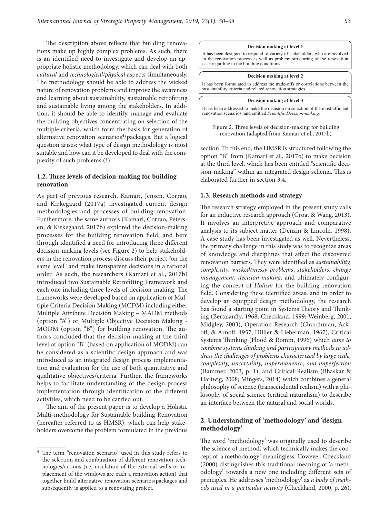The description above reflects that building renovations make up highly complex problems. As such, there is an identified need to investigate and develop an appropriate holistic methodology, which can deal with both *cultural* and *technological/physical* aspects simultaneously. The methodology should be able to address the wicked nature of renovation problems and improve the awareness and learning about sustainability, sustainable retrofitting and sustainable living among the stakeholders. In addition, it should be able to identify, manage and evaluate the building objectives concentrating on selection of the multiple criteria, which form the basis for generation of alternative renovation scenarios $\frac{4}{p}$ ackages. But a logical question arises: what type of design methodology is most suitable and how can it be developed to deal with the complexity of such problems (?).

### **1.2. Three levels of decision-making for building renovation**

As part of previous research, Kamari, Jensen, Corrao, and Kirkegaard (2017a) investigated current design methodologies and processes of building renovation. Furthermore, the same authors (Kamari, Corrao, Petersen, & Kirkegaard, 2017b) explored the decision-making processes for the building renovation field, and here through identified a need for introducing three different decision-making levels (see Figure 2) to help stakeholders in the renovation process discuss their project "on the same level" and make transparent decisions in a rational order. As such, the researchers (Kamari et al., 2017b) introduced two Sustainable Retrofitting Framework and each one including three levels of decision-making. The frameworks were developed based on application of Multiple Criteria Decision Making (MCDM) including either Multiple Attribute Decision Making – MADM methods (option "A") or Multiple Objective Decision Making - MODM (option "B") for building renovation. The authors concluded that the decision-making at the third level of option "B" (based on application of MODM) can be considered as a scientific design approach and was introduced as an integrated design process implementation and evaluation for the use of both quantitative and qualitative objectives/criteria. Further, the frameworks helps to facilitate understanding of the design process implementation through identification of the different activities, which need to be carried out.

The aim of the present paper is to develop a Holistic Multi-methodology for Sustainable building Renovation (hereafter referred to as HMSR), which can help stakeholders overcome the problem formulated in the previous

#### **Decision making at level 1**

It has been designed to respond to variety of stakeholders who are involved in the renovation process as well as problem structuring of the renovation case regarding to the building conditions.

#### **Decision making at level 2**

It has been formulated to address the trade-offs or correlations between the sustainability criteria and related renovation strategies.

#### **Decision making at level 3**





section. To this end, the HMSR is structured following the option "B" from (Kamari et al., 2017b) to make decision at the third level, which has been entitled "scientific decision-making" within an integrated design schema. This is elaborated further in section 3.4.

#### **1.3. Research methods and strategy**

The research strategy employed in the present study calls for an inductive research approach (Groat & Wang, 2013). It involves an interpretive approach and comparative analysis to its subject matter (Denzin & Lincoln, 1998). A case study has been investigated as well. Nevertheless, the primary challenge in this study was to recognize areas of knowledge and disciplines that affect the discovered renovation barriers. They were identified as *sustainability, complexity, wicked/messy problems*, *stakeholders, change management, decision-making,* and ultimately configuring the concept of *Holism* for the building renovation field. Considering these identified areas, and in order to develop an equipped design methodology, the research has found a starting point in Systems Theory and Thinking (Bertalanffy, 1968; Checkland, 1999; Weinberg, 2001; Midgley, 2003), Operation Research (Churchman, Ackoff, & Arnoff, 1957; Hillier & Lieberman, 1967), Critical Systems Thinking (Flood & Romm, 1996) which *aims to combine systems thinking and participatory methods to address the challenges of problems characterized by large scale, complexity, uncertainty, impermanence, and imperfection*  (Bammer, 2003, p. 1), and Critical Realism (Bhaskar & Hartwig, 2008; Mingers, 2014) which combines a general philosophy of science (transcendental realism) with a philosophy of social science (critical naturalism) to describe an interface between the natural and social worlds.

### **2. Understanding of 'methodology' and 'design methodology'**

The word 'methodology' was originally used to describe 'the science of method', which technically makes the concept of 'a methodology' meaningless. However, Checkland (2000) distinguishes this traditional meaning of 'a methodology' towards a new one including different sets of principles. He addresses 'methodology' as *a body of methods used in a particular activity* (Checkland, 2000, p. 26).

<sup>4</sup> The term "renovation scenario" used in this study refers to the selection and combination of different renovation technologies/actions (i.e. insulation of the external walls or replacement of the windows are each a renovation action) that together build alternative renovation scenarios/packages and subsequently is applied to a renovating project.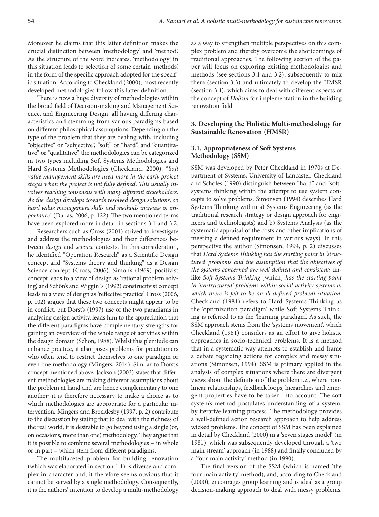Moreover he claims that this latter definition makes the crucial distinction between 'methodology' and 'method'. As the structure of the word indicates, 'methodology' in this situation leads to selection of some certain 'methods', in the form of the specific approach adopted for the specific situation. According to Checkland (2000), most recently developed methodologies follow this latter definition.

There is now a huge diversity of methodologies within the broad field of Decision-making and Management Science, and Engineering Design, all having differing characteristics and stemming from various paradigms based on different philosophical assumptions. Depending on the type of the problem that they are dealing with, including "objective" or "subjective", "soft" or "hard", and "quantitative" or "qualitative", the methodologies can be categorized in two types including Soft Systems Methodologies and Hard Systems Methodologies (Checkland, 2000). "*Soft value management skills are used more in the early project stages when the project is not fully defined*. *This usually involves reaching consensus with many different stakeholders. As the design develops towards resolved design solutions, so hard value management skills and methods increase in importance"* (Dallas, 2006, p. 122). The two mentioned terms have been explored more in detail in sections 3.1 and 3.2.

Researchers such as Cross (2001) strived to investigate and address the methodologies and their differences between *design* and *science* contexts. In this consideration, he identified "Operation Research" as a Scientific Design concept and "Systems theory and thinking" as a Design Science concept (Cross, 2006). Simon's (1969) positivist concept leads to a view of design as 'rational problem solving', and Schön's and Wiggin᾽s (1992) constructivist concept leads to a view of design as 'reflective practice'. Cross (2006, p. 102) argues that these two concepts might appear to be in conflict, but Dorst's (1997) use of the two paradigms in analysing design activity, leads him to the appreciation that the different paradigms have complementary strengths for gaining an overview of the whole range of activities within the design domain (Schön, 1988). Whilst this plenitude can enhance practice, it also poses problems for practitioners who often tend to restrict themselves to one paradigm or even one methodology (Mingers, 2014). Similar to Dorst's concept mentioned above, Jackson (2003) states that different methodologies are making different assumptions about the problem at hand and are hence complementary to one another; it is therefore necessary to make a choice as to which methodologies are appropriate for a particular intervention. Mingers and Brocklesby (1997, p. 2) contribute to the discussion by stating that to deal with the richness of the real world, it is desirable to go beyond using a single (or, on occasions, more than one) methodology. They argue that it is possible to combine several methodologies – in whole or in part – which stem from different paradigms.

The multifaceted problem for building renovation (which was elaborated in section 1.1) is diverse and complex in character and, it therefore seems obvious that it cannot be served by a single methodology. Consequently, it is the authors' intention to develop a multi-methodology as a way to strengthen multiple perspectives on this complex problem and thereby overcome the shortcomings of traditional approaches. The following section of the paper will focus on exploring existing methodologies and methods (see sections 3.1 and 3.2); subsequently to mix them (section 3.3) and ultimately to develop the HMSR (section 3.4), which aims to deal with different aspects of the concept of *Holism* for implementation in the building renovation field.

## **3. Developing the Holistic Multi-methodology for Sustainable Renovation (HMSR)**

### **3.1. Appropriateness of Soft Systems Methodology (SSM)**

SSM was developed by Peter Checkland in 1970s at Department of Systems, University of Lancaster. Checkland and Scholes (1990) distinguish between "hard" and "soft" systems thinking within the attempt to use system concepts to solve problems. Simonsen (1994) describes Hard Systems Thinking within a) Systems Engineering (as the traditional research strategy or design approach for engineers and technologists) and b) Systems Analysis (as the systematic appraisal of the costs and other implications of meeting a defined requirement in various ways). In this perspective the author (Simonsen, 1994, p. 2) discusses that *Hard Systems Thinking has the starting point in 'structured' problems and the assumption that the objectives of the systems concerned are well defined and consistent*; unlike *Soft Systems Thinking* [which] *has the starting point in 'unstructured' problems within social activity systems in which there is felt to be an ill-defined problem situation*. Checkland (1981) refers to Hard Systems Thinking as the 'optimization paradigm' while Soft Systems Thinking is referred to as the 'learning paradigm'. As such, the SSM approach stems from the 'systems movement', which Checkland (1981) considers as an effort to give holistic approaches in socio-technical problems. It is a method that in a systematic way attempts to establish and frame a debate regarding actions for complex and messy situations (Simonsen, 1994). SSM is primary applied in the analysis of complex situations where there are divergent views about the definition of the problem i.e., where nonlinear relationships, feedback loops, hierarchies and emergent properties have to be taken into account. The soft system's method postulates understanding of a system, by iterative learning process. The methodology provides a well-defined action research approach to help address wicked problems. The concept of SSM has been explained in detail by Checkland (2000) in a 'seven stages model' (in 1981), which was subsequently developed through a 'two main stream' approach (in 1988) and finally concluded by a 'four main activity' method (in 1990).

The final version of the SSM (which is named 'the four main activity' method), and, according to Checkland (2000), encourages group learning and is ideal as a group decision-making approach to deal with messy problems.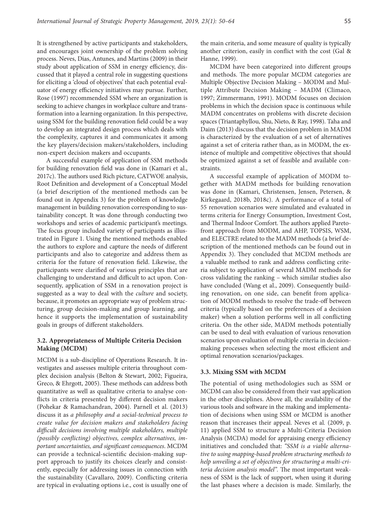It is strengthened by active participants and stakeholders, and encourages joint ownership of the problem solving process. Neves, Dias, Antunes, and Martins (2009) in their study about application of SSM in energy efficiency, discussed that it played a central role in suggesting questions for eliciting a 'cloud of objectives' that each potential evaluator of energy efficiency initiatives may pursue. Further, Rose (1997) recommended SSM where an organization is seeking to achieve changes in workplace culture and transformation into a learning organization. In this perspective, using SSM for the building renovation field could be a way to develop an integrated design process which deals with the complexity, captures it and communicates it among the key players/decision makers/stakeholders, including non-expert decision makers and occupants.

A successful example of application of SSM methods for building renovation field was done in (Kamari et al., 2017c). The authors used Rich picture, CATWOE analysis, Root Definition and development of a Conceptual Model (a brief description of the mentioned methods can be found out in Appendix 3) for the problem of knowledge management in building renovation corresponding to sustainability concept. It was done through conducting two workshops and series of academic participant's meetings. The focus group included variety of participants as illustrated in Figure 1. Using the mentioned methods enabled the authors to explore and capture the needs of different participants and also to categorize and address them as criteria for the future of renovation field. Likewise, the participants were clarified of various principles that are challenging to understand and difficult to act upon. Consequently, application of SSM in a renovation project is suggested as a way to deal with the *culture* and society, because, it promotes an appropriate way of problem structuring, group decision-making and group learning, and hence it supports the implementation of sustainability goals in groups of different stakeholders.

### **3.2. Appropriateness of Multiple Criteria Decision Making (MCDM)**

MCDM is a sub-discipline of Operations Research. It investigates and assesses multiple criteria throughout complex decision analysis (Belton & Stewart, 2002; Figueira, Greco, & Ehrgott, 2005). These methods can address both quantitative as well as qualitative criteria to analyse conflicts in criteria presented by different decision makers (Pohekar & Ramachandran, 2004). Parnell et al. (2013) discuss it as *a philosophy and a social-technical process to create value for decision makers and stakeholders facing difficult decisions involving multiple stakeholders, multiple (possibly conflicting) objectives, complex alternatives, important uncertainties, and significant consequences*. MCDM can provide a technical-scientific decision-making support approach to justify its choices clearly and consistently, especially for addressing issues in connection with the sustainability (Cavallaro, 2009). Conflicting criteria are typical in evaluating options i.e., cost is usually one of the main criteria, and some measure of quality is typically another criterion, easily in conflict with the cost (Gal & Hanne, 1999).

MCDM have been categorized into different groups and methods. The more popular MCDM categories are Multiple Objective Decision Making – MODM and Multiple Attribute Decision Making – MADM (Climaco, 1997; Zimmermann, 1991). MODM focuses on decision problems in which the decision space is continuous while MADM concentrates on problems with discrete decision spaces (Triantaphyllou, Shu, Nieto, & Ray, 1998). Taha and Daim (2013) discuss that the decision problem in MADM is characterized by the evaluation of a set of alternatives against a set of criteria rather than, as in MODM, the existence of multiple and competitive objectives that should be optimized against a set of feasible and available constraints.

A successful example of application of MODM together with MADM methods for building renovation was done in (Kamari, Christensen, Jensen, Petersen, & Kirkegaard, 2018b, 2018c). A performance of a total of 55 renovation scenarios were simulated and evaluated in terms criteria for Energy Consumption, Investment Cost, and Thermal Indoor Comfort. The authors applied Paretofront approach from MODM, and AHP, TOPSIS, WSM, and ELECTRE related to the MADM methods (a brief description of the mentioned methods can be found out in Appendix 3). They concluded that MCDM methods are a valuable method to rank and address conflicting criteria subject to application of several MADM methods for cross validating the ranking – which similar studies also have concluded (Wang et al., 2009). Consequently building renovation, on one side, can benefit from application of MODM methods to resolve the trade-off between criteria (typically based on the preferences of a decision maker) when a solution performs well in all conflicting criteria. On the other side, MADM methods potentially can be used to deal with evaluation of various renovation scenarios upon evaluation of multiple criteria in decisionmaking processes when selecting the most efficient and optimal renovation scenarios/packages.

#### **3.3. Mixing SSM with MCDM**

The potential of using methodologies such as SSM or MCDM can also be considered from their vast application in the other disciplines. Above all, the availability of the various tools and software in the making and implementation of decisions when using SSM or MCDM is another reason that increases their appeal. Neves et al*.* (2009, p. 11) applied SSM to structure a Multi-Criteria Decision Analysis (MCDA) model for appraising energy efficiency initiatives and concluded that: *"SSM is a viable alternative to using mapping-based problem structuring methods to help unveiling a set of objectives for structuring a multi-criteria decision analysis model".* The most important weakness of SSM is the lack of support, when using it during the last phases where a decision is made. Similarly, the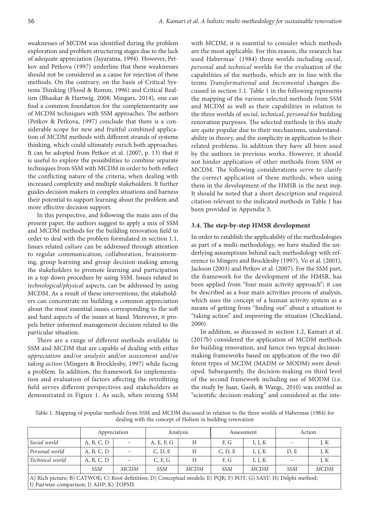weaknesses of MCDM was identified during the problem exploration and problem structuring stages due to the lack of adequate appreciation (Jayaratna, 1994). However, Petkov and Petkova (1997) underline that these weaknesses should not be considered as a cause for rejection of these methods. On the contrary, on the basis of Critical Systems Thinking (Flood & Romm, 1996) and Critical Realism (Bhaskar & Hartwig, 2008; Mingars, 2014), one can find a common foundation for the complementarity use of MCDM techniques with SSM approaches. The authors (Petkov & Petkova, 1997) conclude that there is a considerable scope for new and fruitful combined application of MCDM methods with different strands of systems thinking, which could ultimately enrich both approaches. It can be adopted from Petkov et al. (2007, p. 13) that it is useful to explore the possibilities to combine separate techniques from SSM with MCDM in order to both reflect the conflicting nature of the criteria, when dealing with increased complexity and multiple stakeholders. It further guides decision makers in complex situations and harness their potential to support learning about the problem and more effective decision support.

In this perspective, and following the main aim of the present paper, the authors suggest to apply a mix of SSM and MCDM methods for the building renovation field in order to deal with the problem formulated in section 1.1. Issues related *culture* can be addressed through attention to regular communication, collaboration, brainstorming, group learning and group decision-making among the stakeholders to promote learning and participation in a top down procedure by using SSM. Issues related to *technological/physical* aspects, can be addressed by using MCDM. As a result of these interventions, the stakeholders can concentrate on building a common appreciation about the most essential issues corresponding to the soft and hard aspects of the issues at hand. Moreover, it propels better informed management decision related to the particular situation.

There are a range of different methods available in SSM and MCDM that are capable of dealing with either *appreciation* and/or *analysis* and/or *assessment* and/or *taking action* (Mingers & Brocklesby, 1997) while facing a problem. In addition, the framework for implementation and evaluation of factors affecting the retrofitting field serves different perspectives and stakeholders as demonstrated in Figure 1. As such, when mixing SSM

with MCDM, it is essential to consider which methods are the most applicable. For this reason, the research has used Habermas᾽ (1984) three worlds including *social*, *personal* and *technical* worlds for the evaluation of the capabilities of the methods, which are in line with the terms *Transformational* and *Incremental* changes discussed in section 1.1. Table 1 in the following represents the mapping of the various selected methods from SSM and MCDM as well as their capabilities in relation to the three worlds of *social*, *technical*, *personal* for building renovation purposes. The selected methods in this study are quite popular due to their mechanisms, understandability in theory, and the simplicity in application to their related problems. In addition they have all been used by the authors in previous works. However, it should not hinder application of other methods from SSM or MCDM. The following considerations serve to clarify the correct application of these methods, when using them in the development of the HMSR in the next step. It should be noted that a short description and required citation relevant to the indicated methods in Table 1 has been provided in Appendix 3.

#### **3.4. The step-by-step HMSR development**

In order to establish the applicability of the methodologies as part of a multi-methodology, we have studied the underlying assumptions behind each methodology with reference to Mingers and Brocklesby (1997), Vo et al. (2001), Jackson (2003) and Petkov et al. (2007). For the SSM part, the framework for the development of the HMSR, has been applied from "four main activity approach"; it can be described as a four main activities process of analysis, which uses the concept of a human activity system as a means of getting from "finding out" about a situation to "taking action" and improving the situation (Checkland, 2000).

In addition, as discussed in section 1.2, Kamari et al. (2017b) considered the application of MCDM methods for building renovation, and hence two typical decisionmaking frameworks based on application of the two different types of MCDM (MADM or MODM) were developed. Subsequently, the decision-making on third level of the second framework including use of MODM (i.e. the study by Juan, Gaob, & Wangc, 2010) was entitled as "scientific decision-making" and considered as the inte-

Table 1. Mapping of popular methods from SSM and MCDM discussed in relation to the three worlds of Habermas (1984) for dealing with the concept of Holism in building renovation

|                                                                                                                                                                |            | Analysis<br>Appreciation |            | Assessment  |            | Action      |            |             |
|----------------------------------------------------------------------------------------------------------------------------------------------------------------|------------|--------------------------|------------|-------------|------------|-------------|------------|-------------|
| Social world                                                                                                                                                   | A, B, C, D |                          | A, E, F, G | H           | F, G       | I, J, K     |            | J, $K$      |
| Personal world                                                                                                                                                 | A, B, C, D |                          | C, D, E    | Н           | C, D, E    | I, J, K     | D, E       | J, $K$      |
| Technical world                                                                                                                                                | A, B, C, D |                          | C, F, G    | H           | F, G       | I, J, K     |            | J, K        |
|                                                                                                                                                                | <i>SSM</i> | <b>MCDM</b>              | <i>SSM</i> | <b>MCDM</b> | <i>SSM</i> | <b>MCDM</b> | <i>SSM</i> | <b>MCDM</b> |
| A) Rich picture; B) CATWOE; C) Root definition; D) Conceptual models; E) PQR; F) POT; G) SAST; H) Delphi method;<br>[I] Pairwise comparison; J) AHP; K) TOPSIS |            |                          |            |             |            |             |            |             |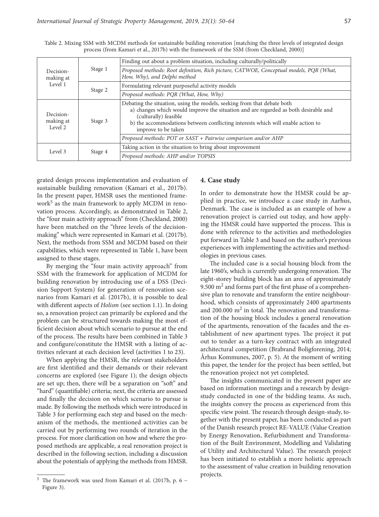| Decision-<br>making at<br>Level 1 | Stage 1 | Finding out about a problem situation, including culturally/politically                                                                                                                                                                                                                           |  |  |  |
|-----------------------------------|---------|---------------------------------------------------------------------------------------------------------------------------------------------------------------------------------------------------------------------------------------------------------------------------------------------------|--|--|--|
|                                   |         | Proposed methods: Root definition, Rich picture, CATWOE, Conceptual models, PQR (What,<br>How, Why), and Delphi method                                                                                                                                                                            |  |  |  |
|                                   | Stage 2 | Formulating relevant purposeful activity models                                                                                                                                                                                                                                                   |  |  |  |
|                                   |         | Proposed methods: PQR (What, How, Why)                                                                                                                                                                                                                                                            |  |  |  |
| Decision-<br>making at<br>Level 2 | Stage 3 | Debating the situation, using the models, seeking from that debate both<br>a) changes which would improve the situation and are regarded as both desirable and<br>(culturally) feasible<br>b) the accommodations between conflicting interests which will enable action to<br>improve to be taken |  |  |  |
|                                   |         | Proposed methods: POT or SAST + Pairwise comparison and/or AHP                                                                                                                                                                                                                                    |  |  |  |
| Level 3                           | Stage 4 | Taking action in the situation to bring about improvement                                                                                                                                                                                                                                         |  |  |  |
|                                   |         | Proposed methods: AHP and/or TOPSIS                                                                                                                                                                                                                                                               |  |  |  |

Table 2. Mixing SSM with MCDM methods for sustainable building renovation [matching the three levels of integrated design process (from Kamari et al., 2017b) with the framework of the SSM (from Checkland, 2000)]

grated design process implementation and evaluation of sustainable building renovation (Kamari et al., 2017b). In the present paper, HMSR uses the mentioned framework<sup>5</sup> as the main framework to apply MCDM in renovation process. Accordingly, as demonstrated in Table 2, the "four main activity approach" from (Checkland, 2000) have been matched on the "three levels of the decisionmaking" which were represented in Kamari et al. (2017b). Next, the methods from SSM and MCDM based on their capabilities, which were represented in Table 1, have been assigned to these stages.

By merging the "four main activity approach" from SSM with the framework for application of MCDM for building renovation by introducing use of a DSS (Decision Support System) for generation of renovation scenarios from Kamari et al. (2017b), it is possible to deal with different aspects of *Holism* (see section 1.1). In doing so, a renovation project can primarily be explored and the problem can be structured towards making the most efficient decision about which scenario to pursue at the end of the process. The results have been combined in Table 3 and configure/constitute the HMSR with a listing of activities relevant at each decision level (activities 1 to 23).

When applying the HMSR, the relevant stakeholders are first identified and their demands or their relevant concerns are explored (see Figure 1); the design objects are set up; then, there will be a separation on "soft" and "hard" (quantifiable) criteria; next, the criteria are assessed and finally the decision on which scenario to pursue is made. By following the methods which were introduced in Table 3 for performing each step and based on the mechanism of the methods, the mentioned activities can be carried out by performing two rounds of iteration in the process. For more clarification on how and where the proposed methods are applicable, a real renovation project is described in the following section, including a discussion about the potentials of applying the methods from HMSR.

#### **4. Case study**

In order to demonstrate how the HMSR could be applied in practice, we introduce a case study in Aarhus, Denmark. The case is included as an example of how a renovation project is carried out today, and how applying the HMSR could have supported the process. This is done with reference to the activities and methodologies put forward in Table 3 and based on the author's previous experiences with implementing the activities and methodologies in previous cases.

The included case is a social housing block from the late 1960's, which is currently undergoing renovation. The eight-storey building block has an area of approximately 9.500  $\text{m}^2$  and forms part of the first phase of a comprehensive plan to renovate and transform the entire neighbourhood, which consists of approximately 2400 apartments and 200.000  $m<sup>2</sup>$  in total. The renovation and transformation of the housing block includes a general renovation of the apartments, renovation of the facades and the establishment of new apartment types. The project it put out to tender as a turn-key contract with an integrated architectural competition (Brabrand Boligforening, 2014; Århus Kommunes, 2007, p. 5). At the moment of writing this paper, the tender for the project has been settled, but the renovation project not yet completed.

The insights communicated in the present paper are based on information meetings and a research by designstudy conducted in one of the bidding teams. As such, the insights convey the process as experienced from this specific view point. The research through design-study, together with the present paper, has been conducted as part of the Danish research project RE-VALUE (Value Creation by Energy Renovation, Refurbishment and Transformation of the Built Environment, Modelling and Validating of Utility and Architectural Value). The research project has been initiated to establish a more holistic approach to the assessment of value creation in building renovation projects.

 $^5\,$  The framework was used from Kamari et al. (2017b, p. 6  $-$ Figure 3).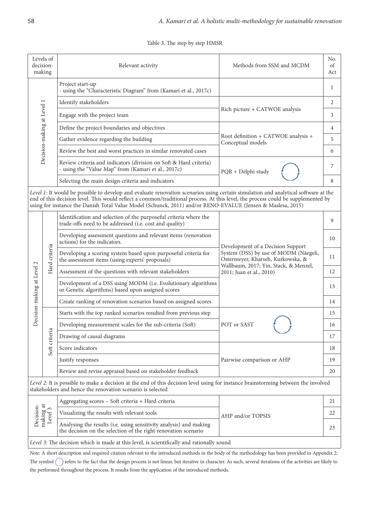Table 3. The step by step HMSR

| Levels of<br>decision-<br>making  |                            | Relevant activity                                                                                                                                                                                                                                                                                                                                                                     | Methods from SSM and MCDM                                                  |                                                           |
|-----------------------------------|----------------------------|---------------------------------------------------------------------------------------------------------------------------------------------------------------------------------------------------------------------------------------------------------------------------------------------------------------------------------------------------------------------------------------|----------------------------------------------------------------------------|-----------------------------------------------------------|
|                                   |                            | Project start-up<br>- using the "Characteristic Diagram" from (Kamari et al., 2017c)                                                                                                                                                                                                                                                                                                  |                                                                            | 1                                                         |
| Decision-making at Level 1        |                            | Identify stakeholders                                                                                                                                                                                                                                                                                                                                                                 | Rich picture + CATWOE analysis                                             |                                                           |
|                                   |                            | Engage with the project team                                                                                                                                                                                                                                                                                                                                                          |                                                                            |                                                           |
|                                   |                            | Define the project boundaries and objectives                                                                                                                                                                                                                                                                                                                                          | Root definition + CATWOE analysis +<br>Conceptual models                   | $\overline{4}$                                            |
|                                   |                            | Gather evidence regarding the building                                                                                                                                                                                                                                                                                                                                                |                                                                            | 5                                                         |
|                                   |                            | Review the best and worst practices in similar renovated cases                                                                                                                                                                                                                                                                                                                        |                                                                            |                                                           |
|                                   |                            | Review criteria and indicators (division on Soft & Hard criteria)<br>- using the "Value Map" from (Kamari et al., 2017c)                                                                                                                                                                                                                                                              | PQR + Delphi study                                                         |                                                           |
|                                   |                            | Selecting the main design criteria and indicators                                                                                                                                                                                                                                                                                                                                     |                                                                            |                                                           |
|                                   |                            | Level 1: It would be possible to develop and evaluate renovation scenarios using certain simulation and analytical software at the<br>end of this decision level. This would reflect a common/traditional process. At this level, the process could be supplemented by<br>using for instance the Danish Total Value Model (Schunck, 2011) and/or RENO-EVALUE (Jensen & Maslesa, 2015) |                                                                            |                                                           |
|                                   |                            | Identification and selection of the purposeful criteria where the<br>trade-offs need to be addressed (i.e. cost and quality)                                                                                                                                                                                                                                                          |                                                                            | 9                                                         |
|                                   |                            | Developing assessment questions and relevant items (renovation<br>actions) for the indicators.                                                                                                                                                                                                                                                                                        | Development of a Decision Support                                          | 10                                                        |
|                                   | Hard criteria              | Developing a scoring system based upon purposeful criteria for<br>the assessment items (using experts' proposals)                                                                                                                                                                                                                                                                     | System (DSS) by use of MODM (Näegeli,<br>Ostermeyer, Kharseh, Kurkowska, & |                                                           |
|                                   |                            | Assessment of the questions with relevant stakeholders                                                                                                                                                                                                                                                                                                                                | Wallbaum, 2017; Yin, Stack, & Menzel,<br>2011; Juan et al., 2010)          | 12                                                        |
| Decision-making at Level 2        |                            | Development of a DSS using MODM (i.e. Evolutionary algorithms<br>or Genetic algorithms) based upon assigned scores                                                                                                                                                                                                                                                                    |                                                                            |                                                           |
|                                   |                            | Create ranking of renovation scenarios based on assigned scores                                                                                                                                                                                                                                                                                                                       |                                                                            | 14                                                        |
|                                   |                            | Starts with the top ranked scenarios resulted from previous step                                                                                                                                                                                                                                                                                                                      |                                                                            | 15                                                        |
|                                   |                            | Developing measurement scales for the sub-criteria (Soft)                                                                                                                                                                                                                                                                                                                             | POT or SAST                                                                |                                                           |
| riteria<br>ပ<br>Soft              | Drawing of causal diagrams |                                                                                                                                                                                                                                                                                                                                                                                       |                                                                            |                                                           |
|                                   | Score indicators           | Pairwise comparison or AHP                                                                                                                                                                                                                                                                                                                                                            |                                                                            |                                                           |
|                                   | Justify responses          |                                                                                                                                                                                                                                                                                                                                                                                       |                                                                            |                                                           |
|                                   |                            |                                                                                                                                                                                                                                                                                                                                                                                       |                                                                            | Review and revise appraisal based on stakeholder feedback |
|                                   |                            | Level 2: It is possible to make a decision at the end of this decision level using for instance brainstorming between the involved<br>stakeholders and hence the renovation scenario is selected                                                                                                                                                                                      |                                                                            |                                                           |
| making at<br>Level 3<br>Decision- |                            | Aggregating scores - Soft criteria + Hard criteria                                                                                                                                                                                                                                                                                                                                    | AHP and/or TOPSIS                                                          |                                                           |
|                                   |                            | Visualizing the results with relevant tools                                                                                                                                                                                                                                                                                                                                           |                                                                            |                                                           |
|                                   |                            | Analysing the results (i.e. using sensitivity analysis) and making<br>the decision on the selection of the right renovation scenario                                                                                                                                                                                                                                                  |                                                                            |                                                           |
|                                   |                            | Level 3: The decision which is made at this level, is scientifically and rationally sound                                                                                                                                                                                                                                                                                             |                                                                            |                                                           |

*Note:* A short description and required citation relevant to the introduced methods in the body of the methodology has been provided in Appendix 2; The symbol  $\bigcap$  refers to the fact that the design process is not linear, but iterative in character. As such, several iterations of the activities are likely to the performed throughout the process. It results from the application of the introduced methods.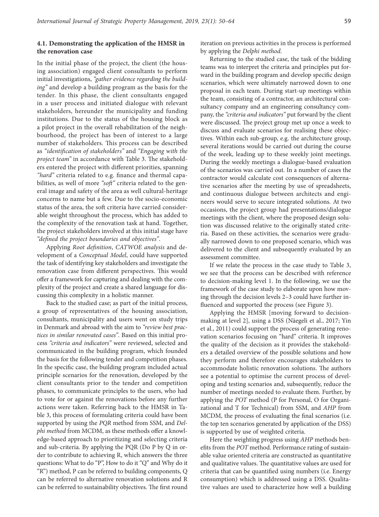## **4.1. Demonstrating the application of the HMSR in the renovation case**

In the initial phase of the project, the client (the housing association) engaged client consultants to perform initial investigations, *"gather evidence regarding the building"* and develop a building program as the basis for the tender. In this phase, the client consultants engaged in a user process and initiated dialogue with relevant stakeholders, hereunder the municipality and funding institutions. Due to the status of the housing block as a pilot project in the overall rehabilitation of the neighbourhood, the project has been of interest to a large number of stakeholders. This process can be described as *"identification of stakeholders"* and *"Engaging with the project team"* in accordance with Table 3. The stakeholders entered the project with different priorities, spanning *"hard"* criteria related to e.g. finance and thermal capabilities, as well of more *"soft"* criteria related to the general image and safety of the area as well cultural-heritage concerns to name but a few. Due to the socio-economic status of the area, the soft criteria have carried considerable weight throughout the process, which has added to the complexity of the renovation task at hand. Together, the project stakeholders involved at this initial stage have *"defined the project boundaries and objectives"*.

Applying *Root definition*, *CATWOE analysis* and development of a *Conceptual Model*, could have supported the task of identifying key stakeholders and investigate the renovation case from different perspectives. This would offer a framework for capturing and dealing with the complexity of the project and create a shared language for discussing this complexity in a holistic manner.

Back to the studied case; as part of the initial process, a group of representatives of the housing association, consultants, municipality and users went on study trips in Denmark and abroad with the aim to *"review best practices in similar renovated cases"*. Based on this initial process *"criteria and indicators"* were reviewed, selected and communicated in the building program, which founded the basis for the following tender and competition phases. In the specific case, the building program included actual principle scenarios for the renovation, developed by the client consultants prior to the tender and competition phases, to communicate principles to the users, who had to vote for or against the renovations before any further actions were taken. Referring back to the HMSR in Table 3, this process of formulating criteria could have been supported by using the *PQR* method from SSM, and *Delphi method* from MCDM, as these methods offer a knowledge-based approach to prioritizing and selecting criteria and sub-criteria. By applying the PQR (Do P by Q in order to contribute to achieving R, which answers the three questions: What to do "P", How to do it "Q" and Why do it "R") method, P can be referred to building components, Q can be referred to alternative renovation solutions and R can be referred to sustainability objectives. The first round iteration on previous activities in the process is performed by applying the *Delphi method*.

Returning to the studied case, the task of the bidding teams was to interpret the criteria and principles put forward in the building program and develop specific design scenarios, which were ultimately narrowed down to one proposal in each team. During start-up meetings within the team, consisting of a contractor, an architectural consultancy company and an engineering consultancy company, the *"criteria and indicators"* put forward by the client were discussed. The project group met up once a week to discuss and evaluate scenarios for realising these objectives. Within each sub-group, e.g. the architecture group, several iterations would be carried out during the course of the week, leading up to these weekly joint meetings. During the weekly meetings a dialogue-based evaluation of the scenarios was carried out. In a number of cases the contractor would calculate cost consequences of alternative scenarios after the meeting by use of spreadsheets, and continuous dialogue between architects and engineers would serve to secure integrated solutions. At two occasions, the project group had presentations/dialogue meetings with the client, where the proposed design solution was discussed relative to the originally stated criteria. Based on these activities, the scenarios were gradually narrowed down to one proposed scenario, which was delivered to the client and subsequently evaluated by an assessment committee.

If we relate the process in the case study to Table 3, we see that the process can be described with reference to decision-making level 1. In the following, we use the framework of the case study to elaborate upon how moving through the decision levels 2–3 could have further influenced and supported the process (see Figure 3).

Applying the HMSR [moving forward to decisionmaking at level 2], using a DSS (Näegeli et al., 2017; Yin et al., 2011) could support the process of generating renovation scenarios focusing on "hard" criteria. It improves the quality of the decision as it provides the stakeholders a detailed overview of the possible solutions and how they perform and therefore encourages stakeholders to accommodate holistic renovation solutions. The authors see a potential to optimise the current process of developing and testing scenarios and, subsequently, reduce the number of meetings needed to evaluate them. Further, by applying the *POT* method (P for Personal, O for Organizational and T for Technical) from SSM, and *AHP* from MCDM, the process of evaluating the final scenarios (i.e. the top ten scenarios generated by application of the DSS) is supported by use of weighted criteria.

Here the weighting progress using *AHP* methods benefits from the *POT* method. Performance rating of sustainable value oriented criteria are constructed as quantitative and qualitative values. The quantitative values are used for criteria that can be quantified using numbers (i.e. Energy consumption) which is addressed using a DSS. Qualitative values are used to characterize how well a building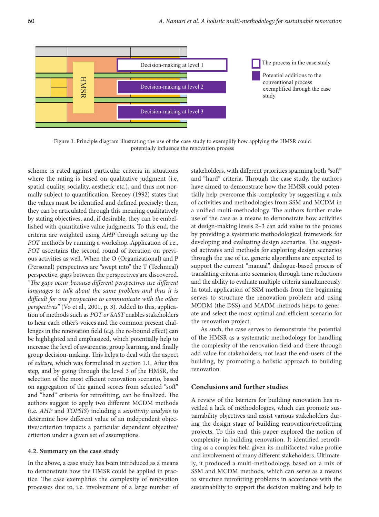

Figure 3. Principle diagram illustrating the use of the case study to exemplify how applying the HMSR could potentially influence the renovation process

scheme is rated against particular criteria in situations where the rating is based on qualitative judgment (i.e. spatial quality, sociality, aesthetic etc.), and thus not normally subject to quantification. Keeney (1992) states that the values must be identified and defined precisely; then, they can be articulated through this meaning qualitatively by stating objectives, and, if desirable, they can be embellished with quantitative value judgments. To this end, the criteria are weighted using *AHP* through setting up the *POT* methods by running a workshop. Application of i.e., *POT* ascertains the second round of iteration on previous activities as well. When the O (Organizational) and P (Personal) perspectives are "swept into" the T (Technical) perspective, gaps between the perspectives are discovered. *"The gaps occur because different perspectives use different languages to talk about the same problem and thus it is difficult for one perspective to communicate with the other perspectives"* (Vo et al., 2001, p. 3). Added to this, application of methods such as *POT or SAST* enables stakeholders to hear each other's voices and the common present challenges in the renovation field (e.g. the re-bound effect) can be highlighted and emphasized, which potentially help to increase the level of awareness, group learning, and finally group decision-making. This helps to deal with the aspect of *culture,* which was formulated in section 1.1. After this step, and by going through the level 3 of the HMSR, the selection of the most efficient renovation scenario, based on aggregation of the gained scores from selected "soft" and "hard" criteria for retrofitting, can be finalized. The authors suggest to apply two different MCDM methods (i.e. *AHP* and *TOPSIS*) including a *sensitivity analysis* to determine how different value of an independent objective/criterion impacts a particular dependent objective/ criterion under a given set of assumptions.

#### **4.2. Summary on the case study**

In the above, a case study has been introduced as a means to demonstrate how the HMSR could be applied in practice. The case exemplifies the complexity of renovation processes due to, i.e. involvement of a large number of stakeholders, with different priorities spanning both "soft" and "hard" criteria. Through the case study, the authors have aimed to demonstrate how the HMSR could potentially help overcome this complexity by suggesting a mix of activities and methodologies from SSM and MCDM in a unified multi-methodology. The authors further make use of the case as a means to demonstrate how activities at design-making levels 2–3 can add value to the process by providing a systematic methodological framework for developing and evaluating design scenarios. The suggested activates and methods for exploring design scenarios through the use of i.e. generic algorithms are expected to support the current "manual", dialogue-based process of translating criteria into scenarios, through time reductions and the ability to evaluate multiple criteria simultaneously. In total, application of SSM methods from the beginning serves to structure the renovation problem and using MODM (the DSS) and MADM methods helps to generate and select the most optimal and efficient scenario for the renovation project.

As such, the case serves to demonstrate the potential of the HMSR as a systematic methodology for handling the complexity of the renovation field and there through add value for stakeholders, not least the end-users of the building, by promoting a holistic approach to building renovation.

#### **Conclusions and further studies**

A review of the barriers for building renovation has revealed a lack of methodologies, which can promote sustainability objectives and assist various stakeholders during the design stage of building renovation/retrofitting projects. To this end, this paper explored the notion of complexity in building renovation. It identified retrofitting as a complex field given its multifaceted value profile and involvement of many different stakeholders. Ultimately, it produced a multi-methodology, based on a mix of SSM and MCDM methods, which can serve as a means to structure retrofitting problems in accordance with the sustainability to support the decision making and help to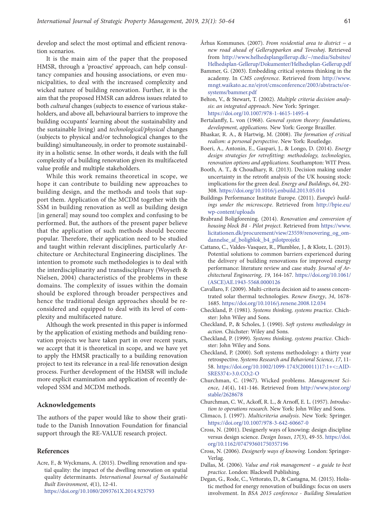develop and select the most optimal and efficient renovation scenarios.

It is the main aim of the paper that the proposed HMSR, through a 'proactive' approach, can help consultancy companies and housing associations, or even municipalities, to deal with the increased complexity and wicked nature of building renovation. Further, it is the aim that the proposed HMSR can address issues related to both *cultural* changes (subjects to essence of various stakeholders, and above all, behavioural barriers to improve the building occupants' learning about the sustainability and the sustainable living) and *technological/physical* changes (subjects to physical and/or technological changes to the building) simultaneously, in order to promote sustainability in a holistic sense. In other words, it deals with the full complexity of a building renovation given its multifaceted value profile and multiple stakeholders.

While this work remains theoretical in scope, we hope it can contribute to building new approaches to building design, and the methods and tools that support them. Application of the MCDM together with the SSM in building renovation as well as building design [in general] may sound too complex and confusing to be performed. But, the authors of the present paper believe that the application of such methods should become popular. Therefore, their application need to be studied and taught within relevant disciplines, particularly Architecture or Architectural Engineering disciplines. The intention to promote such methodologies is to deal with the interdisciplinarity and transdisciplinary (Woyseth & Nielsen, 2004) characteristics of the problems in these domains. The complexity of issues within the domain should be explored through broader perspectives and hence the traditional design approaches should be reconsidered and equipped to deal with its level of complexity and multifaceted nature.

Although the work presented in this paper is informed by the application of existing methods and building renovation projects we have taken part in over recent years, we accept that it is theoretical in scope, and we have yet to apply the HMSR practically to a building renovation project to test its relevance in a real-life renovation design process. Further development of the HMSR will include more explicit examination and application of recently developed SSM and MCDM methods.

#### **Acknowledgements**

The authors of the paper would like to show their gratitude to the Danish Innovation Foundation for financial support through the RE-VALUE research project.

#### **References**

Acre, F., & Wyckmans, A. (2015). Dwelling renovation and spatial quality: the impact of the dwelling renovation on spatial quality determinants. *International Journal of Sustainable Built Environment*, *4*(1), 12-41. <https://doi.org/10.1080/2093761X.2014.923793>

- Århus Kommunes. (2007). *From residential area to district − a new road ahead of Gellerupparken and Toveshøj*. Retrieved from http://www.helhedsplangellerup.dk/~/media/Subsites/ Helhedsplan-Gellerup/Dokumenter/Helhedsplan-Gellerup.pdf
- Bammer, G. (2003). Embedding critical systems thinking in the academy. In *CMS conference*. Retrieved from http://www. mngt.waikato.ac.nz/ejrot/cmsconference/2003/abstracts/orsystems/bammer.pdf
- Belton, V., & Stewart, T. (2002). *Multiple criteria decision analysis*: *an integrated approach*. New York: Springer. <https://doi.org/10.1007/978-1-4615-1495-4>
- Bertalanffy, L. von (1968). *General system theory: foundations, development, applications.* New York: George Braziller.
- Bhaskar, R. A., & Hartwig, M. (2008). *The formation of critical realism: a personal perspective*. New York: Routledge.
- Boeri, A., Antonin, E., Gaspari, J., & Longo, D. (2014). *Energy design strategies for retrofitting: methodology, technologies, renovation options and applications*. Southampton: WIT Press.
- Booth, A. T., & Choudhary, R. (2013). Decision making under uncertainty in the retrofit analysis of the UK housing stock: implications for the green deal. *Energy and Buildings*, *64*, 292- 308. <https://doi.org/10.1016/j.enbuild.2013.05.014>
- Buildings Performance Institute Europe. (2011). *Europe's buildings under the microscope*. Retrieved from http://bpie.eu/ wp-content/uploads
- Brabrand Boligforening. (2014). *Renovation and conversion of housing block B4 - Pilot project*. Retrieved from https://www. licitationen.dk/procurement/view/23559/renovering\_og\_omdannelse\_af\_boligblok\_b4\_pilotprojekt
- Cattano, C., Valdes-Vasquez, R., Plumblee, J., & Klotz, L. (2013). Potential solutions to common barriers experienced during the delivery of building renovations for improved energy performance: literature review and case study. *Journal of Architectural Engineering*, *19*, 164-167. [https://doi.org/10.1061/](https://doi.org/10.1061/(ASCE)AE.1943-5568.0000126) [\(ASCE\)AE.1943-5568.0000126](https://doi.org/10.1061/(ASCE)AE.1943-5568.0000126)
- Cavallaro, F. (2009). Multi-criteria decision aid to assess concentrated solar thermal technologies. *Renew Energy*, *34*, 1678- 1685. <https://doi.org/10.1016/j.renene.2008.12.034>
- Checkland, P. (1981). *Systems thinking, systems practice*. Chichster: John Wiley and Sons.
- Checkland, P., & Scholes, J. (1990). *Soft systems methodology in action*. Chichster: Wiley and Sons.
- Checkland, P. (1999). *Systems thinking, systems practice*. Chichster: John Wiley and Sons.
- Checkland, P. (2000). Soft systems methodology: a thirty year retrospective. *Systems Research and Behavioral Science*, *17*, 11- 58. [https://doi.org/10.1002/1099-1743\(200011\)17:1+<::AID-](https://doi.org/10.1002/1099-1743(200011)17:1+%3c::AID-SRES374%3e3.0.CO;2-O)[SRES374>3.0.CO;2-O](https://doi.org/10.1002/1099-1743(200011)17:1+%3c::AID-SRES374%3e3.0.CO;2-O)
- Churchman, C. (1967). Wicked problems. *Management Science*, *14*(4), 141-146. Retrieved from http://www.jstor.org/ stable/2628678
- Churchman, C. W., Ackoff, R. L., & Arnoff, E. L. (1957). *Introduction to operations research*. New York: John Wiley and Sons.
- Climaco, J. (1997). *Multicriteria analysis*. New York: Springer. <https://doi.org/10.1007/978-3-642-60667-0>
- Cross, N. (2001). Designerly ways of knowing: design discipline versus design science. *Design Issues*, *17*(3), 49-55. [https://doi.](https://doi.org/10.1162/074793601750357196) [org/10.1162/074793601750357196](https://doi.org/10.1162/074793601750357196)
- Cross, N. (2006). *Designerly ways of knowing.* London: Springer-Verlag.
- Dallas, M. (2006). *Value and risk management a guide to best practice*. London: Blackwell Publishing.
- Degan, G., Rode, C., Vettorato, D., & Castagna, M. (2015). Holistic method for energy renovation of buildings: focus on users involvement. In *BSA 2015 conference - Building Simulation*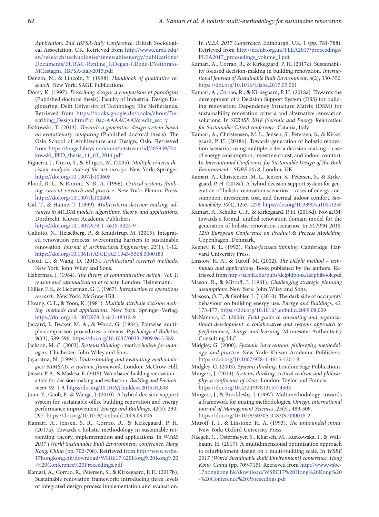*Application, 2nd IBPSA-Italy Conference*. British Sociological Association, UK. Retrieved from http://www.eurac.edu/ en/research/technologies/renewableenergy/publications/ Documents/EURAC-RenEne\_GDegan-CRode-DVettorato-MCastagna\_IBPSA-Italy2015.pdf

- Denzin, N., & Lincoln, Y. (1998). *Handbook of qualitative research*. New York: SAGE Publications.
- Dorst, K. (1997). *Describing design: a comparison of paradigms*  (Published doctoral thesis). Faculty of Industrial Design Engineering, Delft University of Technology, The Netherlands. Retrieved from https://books.google.dk/books/about/Describing\_Design.html?id=0ac-AAAACAAJ&redir\_esc=y
- Estkowski, T. (2013). *Towards a generative design system based on evolutionary computing* (Published doctoral thesis). The Oslo School of Architecture and Design, Oslo. Retrieved from https://brage.bibsys.no/xmlui/bitstream/id/205959/Estkowski\_PhD\_thesis\_11\_03\_2014.pdf
- Figueira, J., Greco, S., & Ehrgott, M. (2005). *Multiple criteria decision analysis: state of the art surveys*. New York: Springer. <https://doi.org/10.1007/b100605>
- Flood, R. L., & Romm, N. R. A. (1996). *Critical systems thinking: current research and practice*. New York: Plenum Press. <https://doi.org/10.1007/b102400>
- Gal, T., & Hanne, T. (1999). *Multicriteria decision making: advances in MCDM models, algorithms, theory, and applications*. Dordrecht: Kluwer Academic Publishers. <https://doi.org/10.1007/978-1-4615-5025-9>
- Galiotto, N., Heiselberg, P., & Knudstrup, M. (2015). Integrated renovation process: overcoming barriers to sustainable renovation. *Journal of Architectural Engineering*, *22*(1), 1-12. [https://doi.org/10.1061/\(ASCE\)AE.1943-5568.0000180](https://doi.org/10.1061/(ASCE)AE.1943-5568.0000180)
- Groat, L., & Wang, D. (2013). *Architectural research methods*. New York: John Wiley and Sons.
- Habermas, J. (1984). *The theory of communicative action. Vol. 1: reason and rationalization of society.* London: Heinemann.
- Hillier, F. S., & Lieberman, G. J. (1967). *Introduction to operations research*. New York: McGraw-Hill.
- Hwang, C. L., & Yoon, K. (1981). *Multiple attribute decision making: methods and applications*. New York: Springer-Verlag. <https://doi.org/10.1007/978-3-642-48318-9>
- Jaccard, J., Becker, M. A., & Wood, G. (1984). Pairwise multiple comparison procedures: a review. *Psychological Bulletin*, *96*(3), 589-596. <https://doi.org/10.1037/0033-2909.96.3.589>
- Jackson, M. C. (2003). *Systems thinking: creative holism for managers*. Chichester: John Wiley and Sons.
- Jayaratna, N. (1994). *Understanding and evaluating methodologies: NIMSAD, a systemic framework*. London: McGrow-Hill.
- Jensen, P. A., & Maslesa, E. (2015). Value based building renovation a tool for decision making and evaluation. *Building and Environment*, *92*, 1-9.<https://doi.org/10.1016/j.buildenv.2015.04.008>
- Juan, Y., Gaob, P., & Wangc, J. (2010). A hybrid decision support system for sustainable office building renovation and energy performance improvement. *Energy and Buildings*, *42*(3), 290- 297. <https://doi.org/10.1016/j.enbuild.2009.09.006>
- Kamari, A., Jensen, S. R., Corrao, R., & Kirkegaard, P. H. (2017a). Towards a holistic methodology in sustainable retrofitting: theory, implementation and applications. In *WSBE 2017 (World Sustainable Built Environment) conference, Hong Kong, China* (pp. 702-708). Retrieved from http://www.wsbe-17hongkong.hk/download/WSBE17%20Hong%20Kong%20 -%20Conference%20Proceedings.pdf
- Kamari, A., Corrao, R., Petersen, S., & Kirkegaard, P. H. (2017b). Sustainable renovation framework: introducing three levels of integrated design process implementation and evaluation.

In *PLEA 2017 Conference,* Edinburgh, UK, 1 (pp. 781-788). Retrieved from http://nceub.org.uk/PLEA2017/proceedings/ PLEA2017\_proceedings\_volume\_I.pdf

- Kamari, A., Corrao, R., & Kirkegaard, P. H. (2017c). Sustainability focused decision-making in building renovation. *International Journal of Sustainable Built Environment*, *6*(2), 330-350. <https://doi.org/10.1016/j.ijsbe.2017.05.001>
- Kamari, A., Corrao, R., & Kirkegaard, P. H. (2018a). Towards the development of a Decision Support System (DSS) for building renovation: Dependency Structure Matrix (DSM) for sustainability renovation criteria and alternative renovation solutions. In *SER4SE 2018 (Seismic and Energy Renovation for Sustainable Cities) conference.* Catania, Italy.
- Kamari, A., Christensen, M. L., Jensen, S., Petersen, S., & Kirkegaard, P. H. (2018b). Towards generation of holistic renovation scenarios using multiple criteria decision making – case of energy consumption, investment cost, and indoor comfort. In *International Conference for Sustainable Design of the Built Environment - SDBE 2018*. London, UK.
- Kamari, A., Christensen, M. L., Jensen, S., Petersen, S., & Kirkegaard, P. H. (2018c). A hybrid decision support system for generation of holistic renovation scenarios – cases of energy consumption, investment cost, and thermal indoor comfort. *Sustainability, 10*(4), 1255-1278. https://doi.org/10.3390/su10041255
- Kamari, A., Schultz, C. P., & Kirkegaard, P. H. (2018d). NovaDM: towards a formal, unified renovation domain model for the generation of holistic renovation scenarios. In *ECPPM 2018, 12th European Conference on Product* & *Process Modelling*. Copenhagen, Denmark.
- Keeney, R. L. (1992). *Value-focused thinking*. Cambridge: Harvard University Press.
- Linstow, H. A., & Turoff, M. (2002). *The Delphi method techniques and applications*. Book published by the authors. Retrieved from http://is.njit.edu/pubs/delphibook/delphibook.pdf
- Mason, R., & Mitroff, I. (1981). *Challenging strategic planning assumptions.* New York: John Wiley and Sons.
- Masoso, O. T., & Grobler, L. J. (2010). The dark side of occupants' behaviour on building energy use. *Energy and Buildings*, *42*, 173-177. <https://doi.org/10.1016/j.enbuild.2009.08.009>
- McNamara, C. (2006). *Field guide to consulting and organizational development: a collaborative and systems approach to performance, change and learning*. Minnesota: Authenticity Consulting LLC.
- Midgley, G. (2000). *Systemic intervention: philosophy, methodology, and practice*. New York: Kluwer Academic Publishers. <https://doi.org/10.1007/978-1-4615-4201-8>
- Midgley, G. (2003). *Systems thinking*. London: Sage Publications.
- Mingers, J. (2014). *Systems thinking, critical realism and philosophy: a confluence of ideas*. London: Taylor and Francis. <https://doi.org/10.4324/9781315774503>
- Mingers, J., & Brocklesby, J. (1997). Multimethodology: towards a framework for mixing methodologies. *Omega, International Journal of Management Sciences*, *25*(5), 489-509. [https://doi.org/10.1016/S0305-0483\(97\)00018-2](https://doi.org/10.1016/S0305-0483(97)00018-2)
- Mitroff, I. I., & Linstone, H. A. (1993). *The unbounded mind*. New York: Oxford University Press.
- Näegeli, C., Ostermeyer, Y., Kharseh, M., Kurkowska, I., & Wallbaum, H. (2017). A multidimensional optimization approach to refurbishment design on a multi-building scale. In *WSBE 2017 (World Sustainable Built Environment) conference, Hong Kong, China* (pp. 709-715). Retrieved from http://www.wsbe-17hongkong.hk/download/WSBE17%20Hong%20Kong%20 -%20Conference%20Proceedings.pdf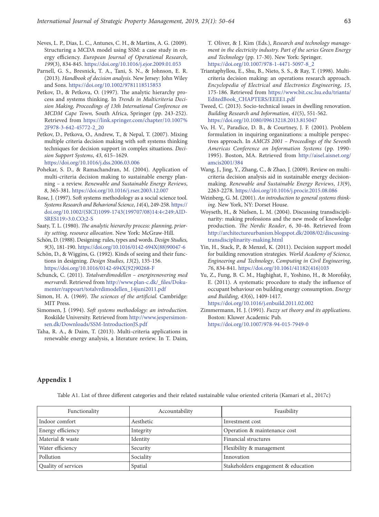- Neves, L. P., Dias, L. C., Antunes, C. H., & Martins, A. G. (2009). Structuring a MCDA model using SSM: a case study in energy efficiency. *European Journal of Operational Research*, *199*(3), 834-845. <https://doi.org/10.1016/j.ejor.2009.01.053>
- Parnell, G. S., Bresnick, T. A., Tani, S. N., & Johnson, E. R. (2013). *Handbook of decision analysis*. New Jersey: John Wiley and Sons. <https://doi.org/10.1002/9781118515853>
- Petkov, D., & Petkova, O. (1997). The analytic hierarchy process and systems thinking. In *Trends in Multicriteria Decision Making, Proceedings of 13th International Conference on MCDM Cape Town,* South Africa, Springer (pp. 243-252). Retrieved from https://link.springer.com/chapter/10.1007% 2F978-3-642-45772-2\_20
- Petkov, D., Petkova, O., Andrew, T., & Nepal, T. (2007). Mixing multiple criteria decision making with soft systems thinking techniques for decision support in complex situations. *Decision Support Systems*, *43*, 615–1629.
- <https://doi.org/10.1016/j.dss.2006.03.006>
- Pohekar, S. D., & Ramachandran, M. (2004). Application of multi-criteria decision making to sustainable energy planning – a review. *Renewable and Sustainable Energy Reviews*, *8*, 365-381.<https://doi.org/10.1016/j.rser.2003.12.007>
- Rose, J. (1997). Soft systems methodology as a social science tool. *Systems Research and Behavioral Science*, *14*(4), 249-258. [https://](https://doi.org/10.1002/(SICI)1099-1743(199707/08)14:4%3c249:AID-SRES119%3e3.0.CO;2-S) [doi.org/10.1002/\(SICI\)1099-1743\(199707/08\)14:4<249:AID-](https://doi.org/10.1002/(SICI)1099-1743(199707/08)14:4%3c249:AID-SRES119%3e3.0.CO;2-S)[SRES119>3.0.CO;2-S](https://doi.org/10.1002/(SICI)1099-1743(199707/08)14:4%3c249:AID-SRES119%3e3.0.CO;2-S)
- Saaty, T. L. (1980). *The analytic hierarchy process: planning, priority setting, resource allocation*. New York: McGraw-Hill.
- Schön, D. (1988). Designing: rules, types and words. *Design Studies*, *9*(3), 181-190. [https://doi.org/10.1016/0142-694X\(88\)90047-6](https://doi.org/10.1016/0142-694X(88)90047-6)
- Schön, D., & Wiggins, G. (1992). Kinds of seeing and their functions in designing. *Design Studies*, *13*(2), 135-156. [https://doi.org/10.1016/0142-694X\(92\)90268-F](https://doi.org/10.1016/0142-694X(92)90268-F)
- Schunck, C. (2011). *Totalværdimodellen energirenovering med merværdi*. Retrieved from http://www.plan-c.dk/\_files/Dokumenter/rappoart/totalvrdimodellen\_14juni2011.pdf
- Simon, H. A. (1969). *The sciences of the artificial.* Cambridge: MIT Press.
- Simonsen, J. (1994). *Soft systems methodology: an introduction*. Roskilde University. Retrieved from http://www.jespersimonsen.dk/Downloads/SSM-IntroductionJS.pdf
- Taha, R. A., & Daim, T. (2013). Multi-criteria applications in renewable energy analysis, a literature review. In T. Daim,

T. Oliver, & J. Kim (Eds.), *Research and technology management in the electricity industry. Part of the series Green Energy and Technology* (pp. 17-30). New York: Springer. [https://doi.org/10.1007/978-1-4471-5097-8\\_2](https://doi.org/10.1007/978-1-4471-5097-8_2)

- Triantaphyllou, E., Shu, B., Nieto, S. S., & Ray, T. (1998). Multicriteria decision making: an operations research approach. *Encyclopedia of Electrical and Electronics Engineering*, *15*, 175-186. Retrieved from https://www.bit.csc.lsu.edu/trianta/ EditedBook\_CHAPTERS/EEEE1.pdf
- Tweed, C. (2013). Socio-technical issues in dwelling renovation. *Building Research and Information*, *41*(5), 551-562. <https://doi.org/10.1080/09613218.2013.815047>
- Vo, H. V., Paradice, D. B., & Courtney, J. F. (2001). Problem formulation in inquiring organizations: a multiple perspectives approach. In *AMCIS 2001 – Proceedings of the Seventh Americas Conference on Information Systems* (pp. 1990- 1995). Boston, MA. Retrieved from http://aisel.aisnet.org/ amcis2001/384
- Wang, J., Jing, Y., Zhang, C., & Zhao, J. (2009). Review on multicriteria decision analysis aid in sustainable energy decisionmaking. *Renewable and Sustainable Energy Reviews*, *13*(9), 2263-2278. <https://doi.org/10.1016/j.procir.2015.08.086>
- Weinberg, G. M. (2001). *An introduction to general systems thinking*. New York, NY: Dorset House.
- Woyseth, H., & Nielsen, L. M. (2004). Discussing transdisciplinarity: making professions and the new mode of knowledge production. *The Nordic Reader*, *6*, 30-46. Retrieved from http://architectureurbanism.blogspot.dk/2008/02/discussingtransdisciplinarity-making.html
- Yin, H., Stack, P., & Menzel, K. (2011). Decision support model for building renovation strategies. *World Academy of Science, Engineering and Technology*, *Computing in Civil Engineering*, *76*, 834-841. [https://doi.org/10.1061/41182\(416\)103](https://doi.org/10.1061/41182(416)103)
- Yu, Z., Fung, B. C. M., Haghighat, F., Yoshino, H., & Morofsky, E. (2011). A systematic procedure to study the influence of occupant behaviour on building energy consumption. *Energy and Building*, *43*(6), 1409-1417. <https://doi.org/10.1016/j.enbuild.2011.02.002>
- Zimmermann, H. J. (1991). *Fuzzy set theory and its applications*. Boston: Kluwer Academic Pub. <https://doi.org/10.1007/978-94-015-7949-0>

## **Appendix 1**

Table A1. List of three different categories and their related sustainable value oriented criteria (Kamari et al., 2017c)

| Functionality       | Accountability | Feasibility                         |
|---------------------|----------------|-------------------------------------|
| Indoor comfort      | Aesthetic      | Investment cost                     |
| Energy efficiency   | Integrity      | Operation & maintenance cost        |
| Material & waste    | Identity       | Financial structures                |
| Water efficiency    | Security       | Flexibility & management            |
| Pollution           | Sociality      | Innovation                          |
| Quality of services | Spatial        | Stakeholders engagement & education |